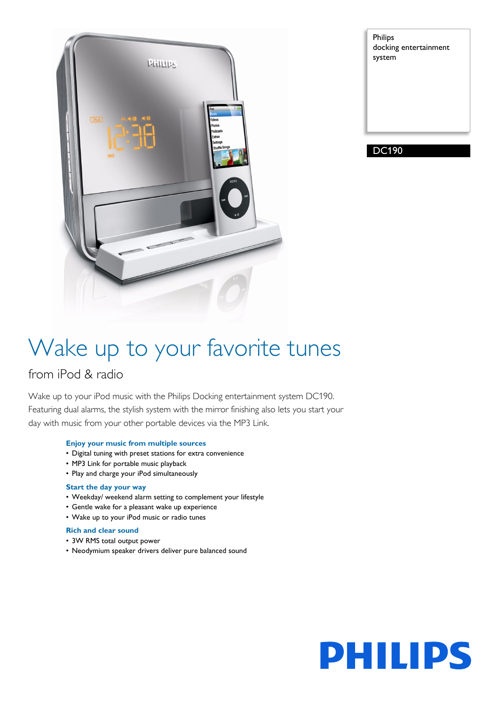

Philips docking entertainment system

DC190

# Wake up to your favorite tunes

# from iPod & radio

Wake up to your iPod music with the Philips Docking entertainment system DC190. Featuring dual alarms, the stylish system with the mirror finishing also lets you start your day with music from your other portable devices via the MP3 Link.

# **Enjoy your music from multiple sources**

- Digital tuning with preset stations for extra convenience
- MP3 Link for portable music playback
- Play and charge your iPod simultaneously

# **Start the day your way**

- Weekday/ weekend alarm setting to complement your lifestyle
- Gentle wake for a pleasant wake up experience
- Wake up to your iPod music or radio tunes

# **Rich and clear sound**

- 3W RMS total output power
- Neodymium speaker drivers deliver pure balanced sound